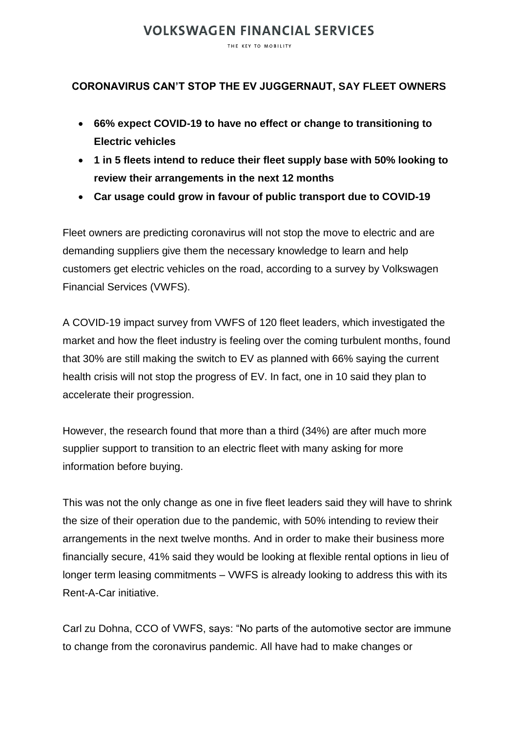## **VOLKSWAGEN FINANCIAL SERVICES**

THE KEY TO MOBILITY

### **CORONAVIRUS CAN'T STOP THE EV JUGGERNAUT, SAY FLEET OWNERS**

- **66% expect COVID-19 to have no effect or change to transitioning to Electric vehicles**
- **1 in 5 fleets intend to reduce their fleet supply base with 50% looking to review their arrangements in the next 12 months**
- **Car usage could grow in favour of public transport due to COVID-19**

Fleet owners are predicting coronavirus will not stop the move to electric and are demanding suppliers give them the necessary knowledge to learn and help customers get electric vehicles on the road, according to a survey by Volkswagen Financial Services (VWFS).

A COVID-19 impact survey from VWFS of 120 fleet leaders, which investigated the market and how the fleet industry is feeling over the coming turbulent months, found that 30% are still making the switch to EV as planned with 66% saying the current health crisis will not stop the progress of EV. In fact, one in 10 said they plan to accelerate their progression.

However, the research found that more than a third (34%) are after much more supplier support to transition to an electric fleet with many asking for more information before buying.

This was not the only change as one in five fleet leaders said they will have to shrink the size of their operation due to the pandemic, with 50% intending to review their arrangements in the next twelve months. And in order to make their business more financially secure, 41% said they would be looking at flexible rental options in lieu of longer term leasing commitments – VWFS is already looking to address this with its Rent-A-Car initiative.

Carl zu Dohna, CCO of VWFS, says: "No parts of the automotive sector are immune to change from the coronavirus pandemic. All have had to make changes or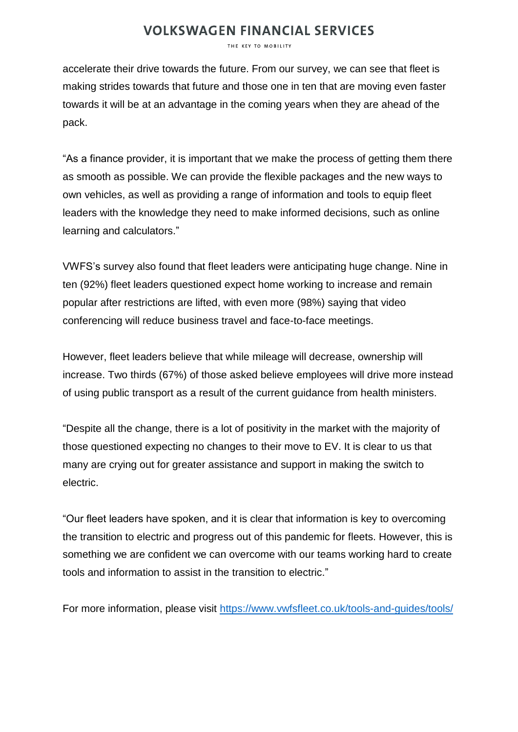# **VOLKSWAGEN FINANCIAL SERVICES**

THE KEY TO MOBILITY

accelerate their drive towards the future. From our survey, we can see that fleet is making strides towards that future and those one in ten that are moving even faster towards it will be at an advantage in the coming years when they are ahead of the pack.

"As a finance provider, it is important that we make the process of getting them there as smooth as possible. We can provide the flexible packages and the new ways to own vehicles, as well as providing a range of information and tools to equip fleet leaders with the knowledge they need to make informed decisions, such as online learning and calculators."

VWFS's survey also found that fleet leaders were anticipating huge change. Nine in ten (92%) fleet leaders questioned expect home working to increase and remain popular after restrictions are lifted, with even more (98%) saying that video conferencing will reduce business travel and face-to-face meetings.

However, fleet leaders believe that while mileage will decrease, ownership will increase. Two thirds (67%) of those asked believe employees will drive more instead of using public transport as a result of the current guidance from health ministers.

"Despite all the change, there is a lot of positivity in the market with the majority of those questioned expecting no changes to their move to EV. It is clear to us that many are crying out for greater assistance and support in making the switch to electric.

"Our fleet leaders have spoken, and it is clear that information is key to overcoming the transition to electric and progress out of this pandemic for fleets. However, this is something we are confident we can overcome with our teams working hard to create tools and information to assist in the transition to electric."

For more information, please visit<https://www.vwfsfleet.co.uk/tools-and-guides/tools/>